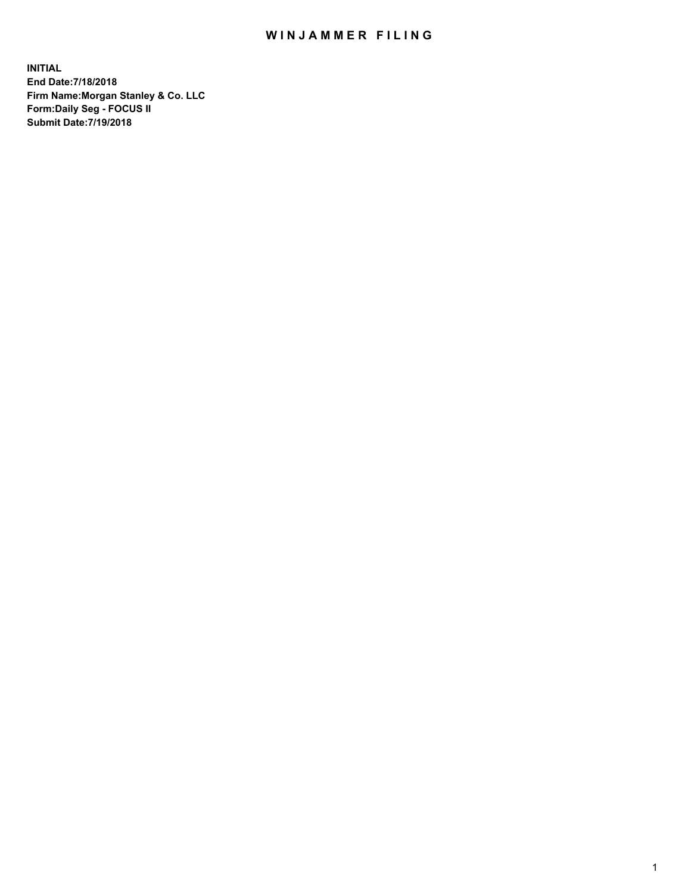## WIN JAMMER FILING

**INITIAL End Date:7/18/2018 Firm Name:Morgan Stanley & Co. LLC Form:Daily Seg - FOCUS II Submit Date:7/19/2018**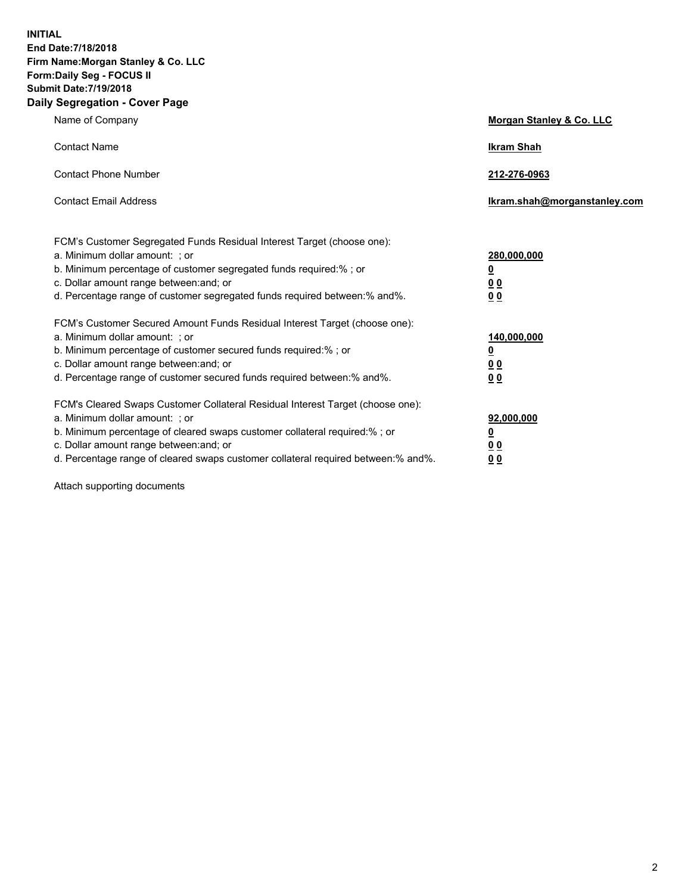**INITIAL End Date:7/18/2018 Firm Name:Morgan Stanley & Co. LLC Form:Daily Seg - FOCUS II Submit Date:7/19/2018 Daily Segregation - Cover Page**

| Name of Company                                                                                                        | Morgan Stanley & Co. LLC     |
|------------------------------------------------------------------------------------------------------------------------|------------------------------|
| <b>Contact Name</b>                                                                                                    | <b>Ikram Shah</b>            |
| <b>Contact Phone Number</b>                                                                                            | 212-276-0963                 |
| <b>Contact Email Address</b>                                                                                           | Ikram.shah@morganstanley.com |
| FCM's Customer Segregated Funds Residual Interest Target (choose one):                                                 |                              |
| a. Minimum dollar amount: ; or                                                                                         | 280,000,000                  |
| b. Minimum percentage of customer segregated funds required:% ; or                                                     | <u>0</u>                     |
| c. Dollar amount range between: and; or<br>d. Percentage range of customer segregated funds required between: % and %. | <u>0 0</u><br>0 Q            |
| FCM's Customer Secured Amount Funds Residual Interest Target (choose one):                                             |                              |
| a. Minimum dollar amount: ; or                                                                                         | 140,000,000                  |
| b. Minimum percentage of customer secured funds required:%; or                                                         | <u>0</u>                     |
| c. Dollar amount range between: and; or                                                                                | 0 <sub>0</sub>               |
| d. Percentage range of customer secured funds required between:% and%.                                                 | 0 <sub>0</sub>               |
| FCM's Cleared Swaps Customer Collateral Residual Interest Target (choose one):                                         |                              |
| a. Minimum dollar amount: ; or                                                                                         | 92,000,000                   |
| b. Minimum percentage of cleared swaps customer collateral required:% ; or                                             | <u>0</u>                     |
| c. Dollar amount range between: and; or                                                                                | 0 Q                          |
| d. Percentage range of cleared swaps customer collateral required between:% and%.                                      | 00                           |

Attach supporting documents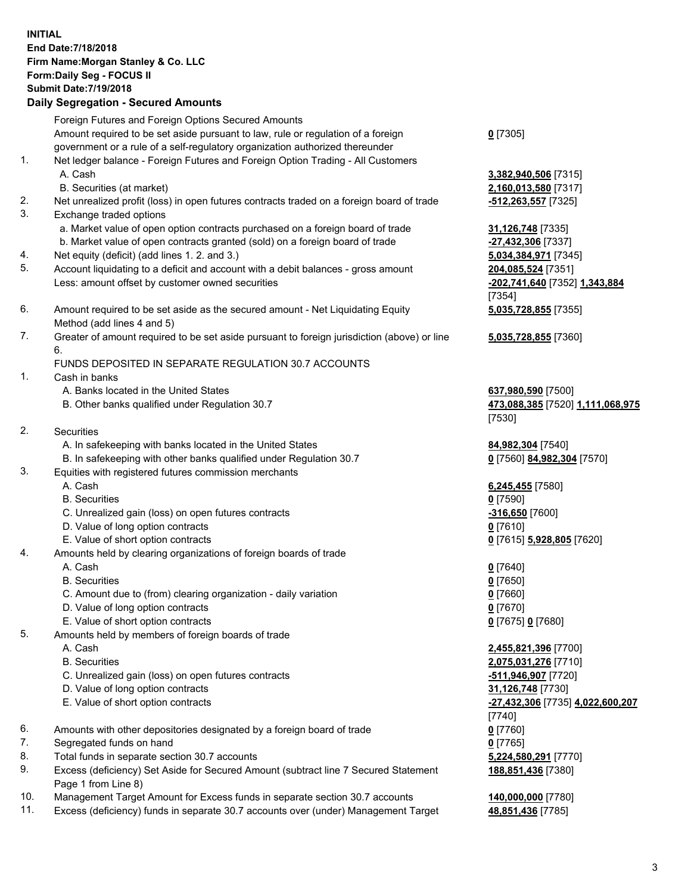## **INITIAL End Date:7/18/2018 Firm Name:Morgan Stanley & Co. LLC Form:Daily Seg - FOCUS II Submit Date:7/19/2018 Daily Segregation - Secured Amounts**

Foreign Futures and Foreign Options Secured Amounts Amount required to be set aside pursuant to law, rule or regulation of a foreign government or a rule of a self-regulatory organization authorized thereunder 1. Net ledger balance - Foreign Futures and Foreign Option Trading - All Customers A. Cash **3,382,940,506** [7315] B. Securities (at market) **2,160,013,580** [7317] 2. Net unrealized profit (loss) in open futures contracts traded on a foreign board of trade **-512,263,557** [7325] 3. Exchange traded options a. Market value of open option contracts purchased on a foreign board of trade **31,126,748** [7335] b. Market value of open contracts granted (sold) on a foreign board of trade **-27,432,306** [7337] 4. Net equity (deficit) (add lines 1. 2. and 3.) **5,034,384,971** [7345] 5. Account liquidating to a deficit and account with a debit balances - gross amount **204,085,524** [7351] Less: amount offset by customer owned securities **-202,741,640** [7352] **1,343,884** 6. Amount required to be set aside as the secured amount - Net Liquidating Equity Method (add lines 4 and 5)

7. Greater of amount required to be set aside pursuant to foreign jurisdiction (above) or line 6.

## FUNDS DEPOSITED IN SEPARATE REGULATION 30.7 ACCOUNTS

- 1. Cash in banks
	- A. Banks located in the United States **637,980,590** [7500]
	- B. Other banks qualified under Regulation 30.7 **473,088,385** [7520] **1,111,068,975**
- 2. Securities
	- A. In safekeeping with banks located in the United States **84,982,304** [7540]
	- B. In safekeeping with other banks qualified under Regulation 30.7 **0** [7560] **84,982,304** [7570]
- 3. Equities with registered futures commission merchants
	-
	- B. Securities **0** [7590]
	- C. Unrealized gain (loss) on open futures contracts **-316,650** [7600]
	- D. Value of long option contracts **0** [7610]
- E. Value of short option contracts **0** [7615] **5,928,805** [7620]
- 4. Amounts held by clearing organizations of foreign boards of trade
	- A. Cash **0** [7640]
	- B. Securities **0** [7650]
	- C. Amount due to (from) clearing organization daily variation **0** [7660]
	- D. Value of long option contracts **0** [7670]
	- E. Value of short option contracts **0** [7675] **0** [7680]
- 5. Amounts held by members of foreign boards of trade
	-
	-
	- C. Unrealized gain (loss) on open futures contracts **-511,946,907** [7720]
	- D. Value of long option contracts **31,126,748** [7730]
	- E. Value of short option contracts **-27,432,306** [7735] **4,022,600,207**
- 6. Amounts with other depositories designated by a foreign board of trade **0** [7760]
- 7. Segregated funds on hand **0** [7765]
- 8. Total funds in separate section 30.7 accounts **5,224,580,291** [7770]
- 9. Excess (deficiency) Set Aside for Secured Amount (subtract line 7 Secured Statement Page 1 from Line 8)
- 10. Management Target Amount for Excess funds in separate section 30.7 accounts **140,000,000** [7780]
- 11. Excess (deficiency) funds in separate 30.7 accounts over (under) Management Target **48,851,436** [7785]

**0** [7305]

[7354] **5,035,728,855** [7355]

**5,035,728,855** [7360]

[7530]

A. Cash **6,245,455** [7580]

 A. Cash **2,455,821,396** [7700] B. Securities **2,075,031,276** [7710] [7740] **188,851,436** [7380]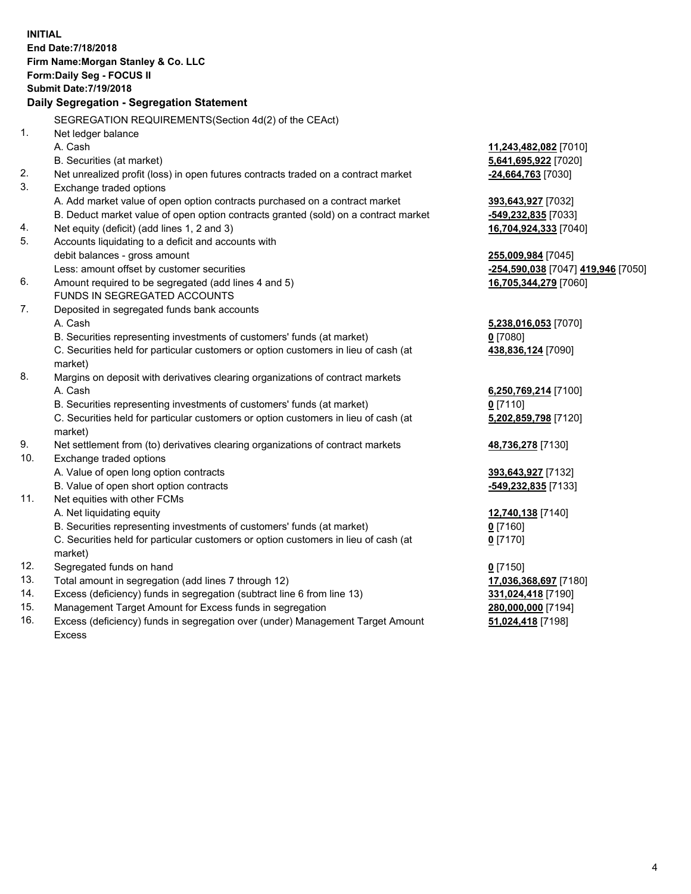**INITIAL End Date:7/18/2018 Firm Name:Morgan Stanley & Co. LLC Form:Daily Seg - FOCUS II Submit Date:7/19/2018 Daily Segregation - Segregation Statement** SEGREGATION REQUIREMENTS(Section 4d(2) of the CEAct) 1. Net ledger balance A. Cash **11,243,482,082** [7010] B. Securities (at market) **5,641,695,922** [7020] 2. Net unrealized profit (loss) in open futures contracts traded on a contract market **-24,664,763** [7030] 3. Exchange traded options A. Add market value of open option contracts purchased on a contract market **393,643,927** [7032] B. Deduct market value of open option contracts granted (sold) on a contract market **-549,232,835** [7033] 4. Net equity (deficit) (add lines 1, 2 and 3) **16,704,924,333** [7040] 5. Accounts liquidating to a deficit and accounts with debit balances - gross amount **255,009,984** [7045] Less: amount offset by customer securities **-254,590,038** [7047] **419,946** [7050] 6. Amount required to be segregated (add lines 4 and 5) **16,705,344,279** [7060] FUNDS IN SEGREGATED ACCOUNTS 7. Deposited in segregated funds bank accounts A. Cash **5,238,016,053** [7070] B. Securities representing investments of customers' funds (at market) **0** [7080] C. Securities held for particular customers or option customers in lieu of cash (at market) **438,836,124** [7090] 8. Margins on deposit with derivatives clearing organizations of contract markets A. Cash **6,250,769,214** [7100] B. Securities representing investments of customers' funds (at market) **0** [7110] C. Securities held for particular customers or option customers in lieu of cash (at market) **5,202,859,798** [7120] 9. Net settlement from (to) derivatives clearing organizations of contract markets **48,736,278** [7130] 10. Exchange traded options A. Value of open long option contracts **393,643,927** [7132] B. Value of open short option contracts **-549,232,835** [7133] 11. Net equities with other FCMs A. Net liquidating equity **12,740,138** [7140] B. Securities representing investments of customers' funds (at market) **0** [7160] C. Securities held for particular customers or option customers in lieu of cash (at market) **0** [7170] 12. Segregated funds on hand **0** [7150] 13. Total amount in segregation (add lines 7 through 12) **17,036,368,697** [7180] 14. Excess (deficiency) funds in segregation (subtract line 6 from line 13) **331,024,418** [7190] 15. Management Target Amount for Excess funds in segregation **280,000,000** [7194] 16. Excess (deficiency) funds in segregation over (under) Management Target Amount **51,024,418** [7198]

Excess